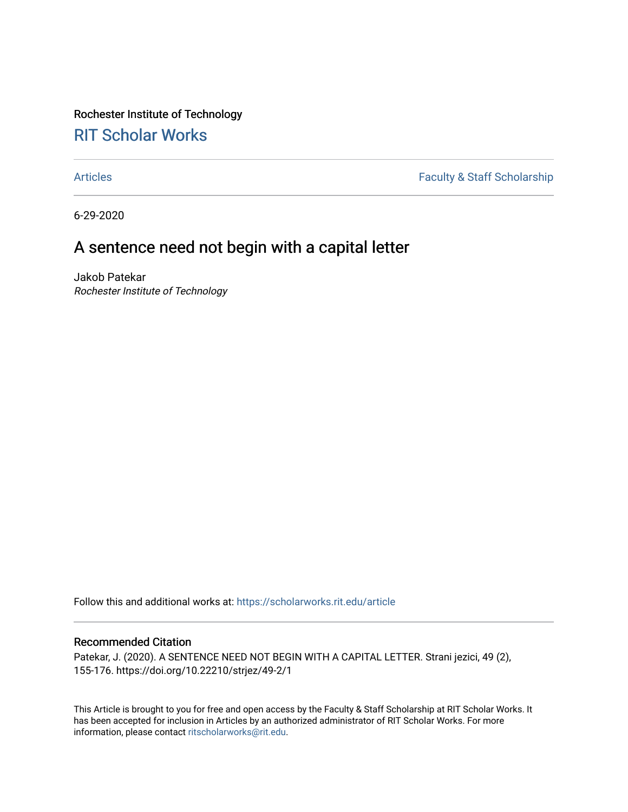Rochester Institute of Technology [RIT Scholar Works](https://scholarworks.rit.edu/)

[Articles](https://scholarworks.rit.edu/article) **Faculty & Staff Scholarship** 

6-29-2020

# A sentence need not begin with a capital letter

Jakob Patekar Rochester Institute of Technology

Follow this and additional works at: [https://scholarworks.rit.edu/article](https://scholarworks.rit.edu/article?utm_source=scholarworks.rit.edu%2Farticle%2F1990&utm_medium=PDF&utm_campaign=PDFCoverPages) 

#### Recommended Citation

Patekar, J. (2020). A SENTENCE NEED NOT BEGIN WITH A CAPITAL LETTER. Strani jezici, 49 (2), 155-176. https://doi.org/10.22210/strjez/49-2/1

This Article is brought to you for free and open access by the Faculty & Staff Scholarship at RIT Scholar Works. It has been accepted for inclusion in Articles by an authorized administrator of RIT Scholar Works. For more information, please contact [ritscholarworks@rit.edu.](mailto:ritscholarworks@rit.edu)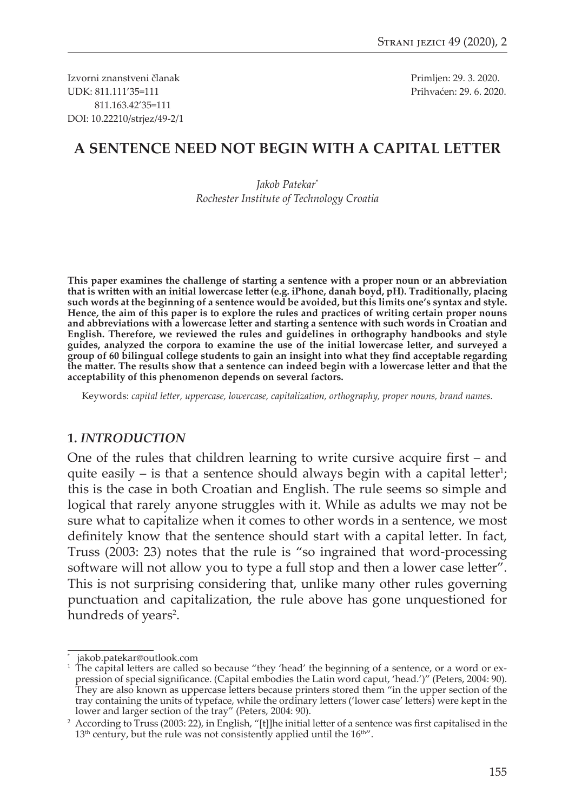Izvorni znanstveni članak Primljen: 29. 3. 2020. UDK: 811.111'35=111 Prihvaćen: 29. 6. 2020. 811.163.42'35=111 DOI: 10.22210/strjez/49-2/1

### **A SENTENCE NEED NOT BEGIN WITH A CAPITAL LETTER**

*Jakob Patekar*\* *Rochester Institute of Technology Croatia*

**This paper examines the challenge of starting a sentence with a proper noun or an abbreviation that is writen with an initial lowercase leter (e.g. iPhone, danah boyd, pH). Traditionally, placing such words at the beginning of a sentence would be avoided, but this limits one's syntax and style. Hence, the aim of this paper is to explore the rules and practices of writing certain proper nouns and abbreviations with a lowercase leter and starting a sentence with such words in Croatian and English. Therefore, we reviewed the rules and guidelines in orthography handbooks and style guides, analyzed the corpora to examine the use of the initial lowercase leter, and surveyed a group of 60 bilingual college students to gain an insight into what they fnd acceptable regarding the mater. The results show that a sentence can indeed begin with a lowercase leter and that the acceptability of this phenomenon depends on several factors.** 

Keywords: *capital leter, uppercase, lowercase, capitalization, orthography, proper nouns, brand names.*

#### **1.** *INTRODUCTION*

One of the rules that children learning to write cursive acquire frst – and quite easily  $-$  is that a sentence should always begin with a capital letter<sup>1</sup>; this is the case in both Croatian and English. The rule seems so simple and logical that rarely anyone struggles with it. While as adults we may not be sure what to capitalize when it comes to other words in a sentence, we most definitely know that the sentence should start with a capital letter. In fact, Truss (2003: 23) notes that the rule is "so ingrained that word-processing software will not allow you to type a full stop and then a lower case letter". This is not surprising considering that, unlike many other rules governing punctuation and capitalization, the rule above has gone unquestioned for hundreds of years<sup>2</sup>.

<sup>\*</sup> jakob.patekar@outlook.com

 $^1$  The capital letters are called so because "they 'head' the beginning of a sentence, or a word or expression of special signifcance. (Capital embodies the Latin word caput, 'head.')" (Peters, 2004: 90). They are also known as uppercase leters because printers stored them "in the upper section of the tray containing the units of typeface, while the ordinary leters ('lower case' leters) were kept in the lower and larger section of the tray" (Peters, 2004: 90).

<sup>2</sup> According to Truss (2003: 22), in English, "[t]]he initial leter of a sentence was frst capitalised in the  $13<sup>th</sup>$  century, but the rule was not consistently applied until the  $16<sup>th</sup>$ .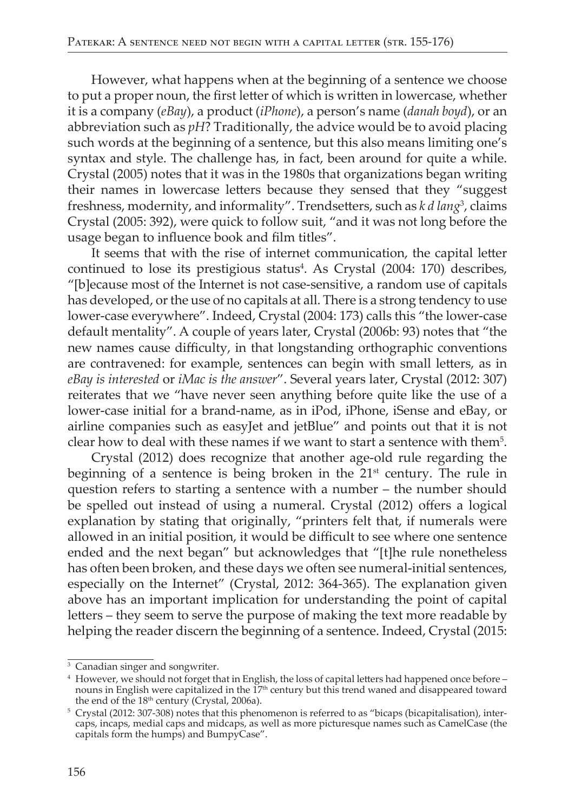However, what happens when at the beginning of a sentence we choose to put a proper noun, the first letter of which is written in lowercase, whether it is a company (eBay), a product (iPhone), a person's name (danah boyd), or an abbreviation such as  $pH$ ? Traditionally, the advice would be to avoid placing such words at the beginning of a sentence, but this also means limiting one's syntax and style. The challenge has, in fact, been around for quite a while. Crystal (2005) notes that it was in the 1980s that organizations began writing their names in lowercase letters because they sensed that they "suggest freshness, modernity, and informality". Trendsetters, such as k d lang<sup>3</sup>, claims Crystal (2005: 392), were quick to follow suit, "and it was not long before the usage began to influence book and film titles".

It seems that with the rise of internet communication, the capital letter continued to lose its prestigious status<sup>4</sup>. As Crystal (2004: 170) describes, "[b]ecause most of the Internet is not case-sensitive, a random use of capitals has developed, or the use of no capitals at all. There is a strong tendency to use lower-case everywhere". Indeed, Crystal (2004: 173) calls this "the lower-case default mentality". A couple of years later, Crystal (2006b: 93) notes that "the new names cause difficulty, in that longstanding orthographic conventions are contravened: for example, sentences can begin with small letters, as in eBay is interested or iMac is the answer". Several years later, Crystal (2012: 307) reiterates that we "have never seen anything before quite like the use of a lower-case initial for a brand-name, as in iPod, iPhone, iSense and eBay, or airline companies such as easyJet and jetBlue" and points out that it is not clear how to deal with these names if we want to start a sentence with them<sup>5</sup>.

Crystal (2012) does recognize that another age-old rule regarding the beginning of a sentence is being broken in the 21<sup>st</sup> century. The rule in question refers to starting a sentence with a number - the number should be spelled out instead of using a numeral. Crystal (2012) offers a logical explanation by stating that originally, "printers felt that, if numerals were allowed in an initial position, it would be difficult to see where one sentence ended and the next began" but acknowledges that "[t]he rule nonetheless has often been broken, and these days we often see numeral-initial sentences, especially on the Internet" (Crystal, 2012: 364-365). The explanation given above has an important implication for understanding the point of capital letters - they seem to serve the purpose of making the text more readable by helping the reader discern the beginning of a sentence. Indeed, Crystal (2015:

<sup>&</sup>lt;sup>3</sup> Canadian singer and songwriter.

<sup>&</sup>lt;sup>4</sup> However, we should not forget that in English, the loss of capital letters had happened once before – nouns in English were capitalized in the  $17<sup>th</sup>$  century but this trend waned and disappeared toward the end of the 18<sup>th</sup> century (Crystal, 2006a).

 $5$  Crystal (2012: 307-308) notes that this phenomenon is referred to as "bicaps (bicapitalisation), intercaps, incaps, medial caps and midcaps, as well as more picturesque names such as CamelCase (the capitals form the humps) and BumpyCase".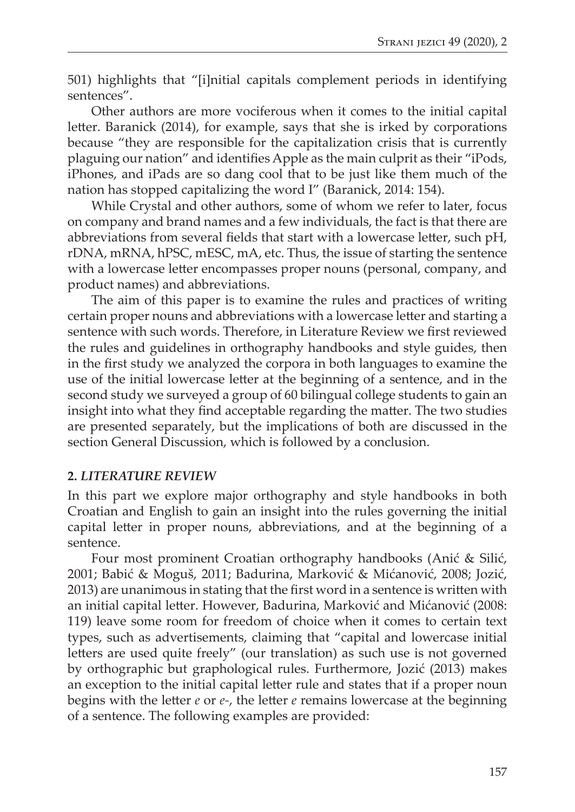501) highlights that "[i]nitial capitals complement periods in identifying sentences".

Other authors are more vociferous when it comes to the initial capital letter. Baranick (2014), for example, says that she is irked by corporations because "they are responsible for the capitalization crisis that is currently plaguing our nation" and identifes Apple as the main culprit as their "iPods, iPhones, and iPads are so dang cool that to be just like them much of the nation has stopped capitalizing the word I" (Baranick, 2014: 154).

While Crystal and other authors, some of whom we refer to later, focus on company and brand names and a few individuals, the fact is that there are abbreviations from several fields that start with a lowercase letter, such pH, rDNA, mRNA, hPSC, mESC, mA, etc. Thus, the issue of starting the sentence with a lowercase letter encompasses proper nouns (personal, company, and product names) and abbreviations.

The aim of this paper is to examine the rules and practices of writing certain proper nouns and abbreviations with a lowercase leter and starting a sentence with such words. Therefore, in Literature Review we frst reviewed the rules and guidelines in orthography handbooks and style guides, then in the frst study we analyzed the corpora in both languages to examine the use of the initial lowercase leter at the beginning of a sentence, and in the second study we surveyed a group of 60 bilingual college students to gain an insight into what they fnd acceptable regarding the mater. The two studies are presented separately, but the implications of both are discussed in the section General Discussion, which is followed by a conclusion.

#### **2.** *LITERATURE REVIEW*

In this part we explore major orthography and style handbooks in both Croatian and English to gain an insight into the rules governing the initial capital letter in proper nouns, abbreviations, and at the beginning of a sentence.

Four most prominent Croatian orthography handbooks (Anić & Silić, 2001; Babić & Moguš, 2011; Badurina, Marković & Mićanović, 2008; Jozić, 2013) are unanimous in stating that the frst word in a sentence is writen with an initial capital leter. However, Badurina, Marković and Mićanović (2008: 119) leave some room for freedom of choice when it comes to certain text types, such as advertisements, claiming that "capital and lowercase initial letters are used quite freely" (our translation) as such use is not governed by orthographic but graphological rules. Furthermore, Jozić (2013) makes an exception to the initial capital leter rule and states that if a proper noun begins with the leter *e* or *e-*, the leter *e* remains lowercase at the beginning of a sentence. The following examples are provided: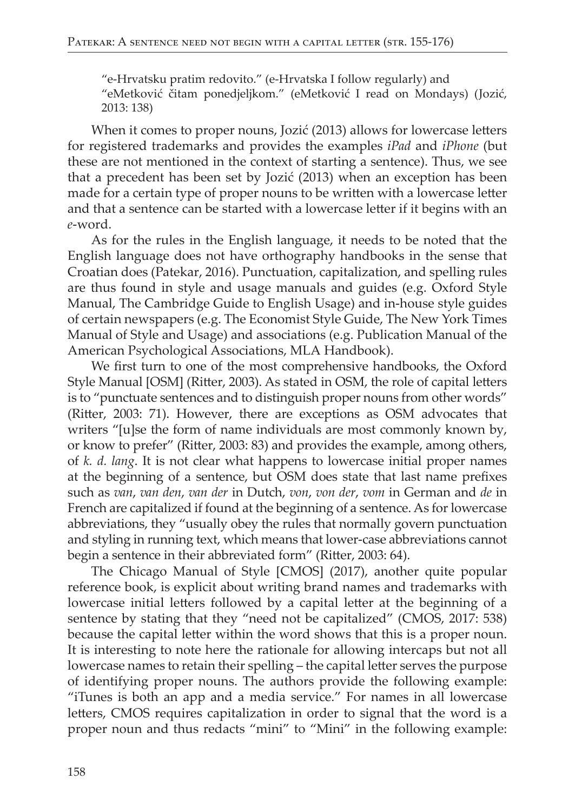"e-Hrvatsku pratim redovito." (e-Hrvatska I follow regularly) and "eMetković čitam ponedjeljkom." (eMetković I read on Mondays) (Jozić, 2013: 138)

When it comes to proper nouns, Jozić (2013) allows for lowercase letters for registered trademarks and provides the examples iPad and iPhone (but these are not mentioned in the context of starting a sentence). Thus, we see that a precedent has been set by Jozić (2013) when an exception has been made for a certain type of proper nouns to be written with a lowercase letter and that a sentence can be started with a lowercase letter if it begins with an  $e$ -word

As for the rules in the English language, it needs to be noted that the English language does not have orthography handbooks in the sense that Croatian does (Patekar, 2016). Punctuation, capitalization, and spelling rules are thus found in style and usage manuals and guides (e.g. Oxford Style Manual, The Cambridge Guide to English Usage) and in-house style guides of certain newspapers (e.g. The Economist Style Guide, The New York Times Manual of Style and Usage) and associations (e.g. Publication Manual of the American Psychological Associations, MLA Handbook).

We first turn to one of the most comprehensive handbooks, the Oxford Style Manual [OSM] (Ritter, 2003). As stated in OSM, the role of capital letters is to "punctuate sentences and to distinguish proper nouns from other words" (Ritter, 2003: 71). However, there are exceptions as OSM advocates that writers "[u]se the form of name individuals are most commonly known by, or know to prefer" (Ritter, 2003: 83) and provides the example, among others, of  $k$ .  $d$ .  $lang$ . It is not clear what happens to lowercase initial proper names at the beginning of a sentence, but OSM does state that last name prefixes such as van, van den, van der in Dutch, von, von der, vom in German and de in French are capitalized if found at the beginning of a sentence. As for lowercase abbreviations, they "usually obey the rules that normally govern punctuation and styling in running text, which means that lower-case abbreviations cannot begin a sentence in their abbreviated form" (Ritter, 2003: 64).

The Chicago Manual of Style [CMOS] (2017), another quite popular reference book, is explicit about writing brand names and trademarks with lowercase initial letters followed by a capital letter at the beginning of a sentence by stating that they "need not be capitalized" (CMOS, 2017: 538) because the capital letter within the word shows that this is a proper noun. It is interesting to note here the rationale for allowing intercaps but not all lowercase names to retain their spelling - the capital letter serves the purpose of identifying proper nouns. The authors provide the following example: "iTunes is both an app and a media service." For names in all lowercase letters, CMOS requires capitalization in order to signal that the word is a proper noun and thus redacts "mini" to "Mini" in the following example: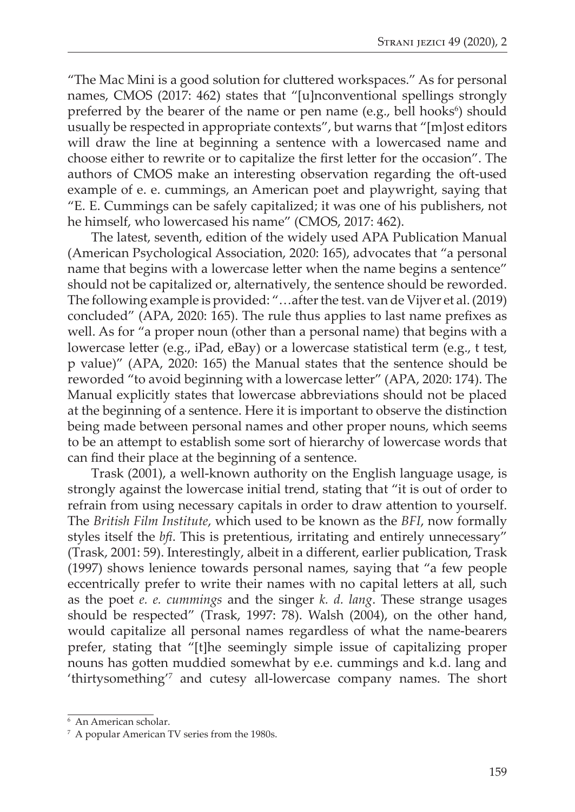"The Mac Mini is a good solution for clutered workspaces." As for personal names, CMOS (2017: 462) states that "[u]nconventional spellings strongly preferred by the bearer of the name or pen name (e.g., bell hooks<sup>6</sup>) should usually be respected in appropriate contexts", but warns that "[m]ost editors will draw the line at beginning a sentence with a lowercased name and choose either to rewrite or to capitalize the frst leter for the occasion". The authors of CMOS make an interesting observation regarding the oft-used example of e. e. cummings, an American poet and playwright, saying that "E. E. Cummings can be safely capitalized; it was one of his publishers, not he himself, who lowercased his name" (CMOS, 2017: 462).

The latest, seventh, edition of the widely used APA Publication Manual (American Psychological Association, 2020: 165), advocates that "a personal name that begins with a lowercase letter when the name begins a sentence" should not be capitalized or, alternatively, the sentence should be reworded. The following example is provided: "…after the test. van de Vijver et al. (2019) concluded" (APA, 2020: 165). The rule thus applies to last name prefxes as well. As for "a proper noun (other than a personal name) that begins with a lowercase letter (e.g., iPad, eBay) or a lowercase statistical term (e.g., t test, p value)" (APA, 2020: 165) the Manual states that the sentence should be reworded "to avoid beginning with a lowercase leter" (APA, 2020: 174). The Manual explicitly states that lowercase abbreviations should not be placed at the beginning of a sentence. Here it is important to observe the distinction being made between personal names and other proper nouns, which seems to be an atempt to establish some sort of hierarchy of lowercase words that can fnd their place at the beginning of a sentence.

Trask (2001), a well-known authority on the English language usage, is strongly against the lowercase initial trend, stating that "it is out of order to refrain from using necessary capitals in order to draw atention to yourself. The *British Film Institute*, which used to be known as the *BFI*, now formally styles itself the *bf*. This is pretentious, irritating and entirely unnecessary" (Trask, 2001: 59). Interestingly, albeit in a diferent, earlier publication, Trask (1997) shows lenience towards personal names, saying that "a few people eccentrically prefer to write their names with no capital leters at all, such as the poet *e. e. cummings* and the singer *k. d. lang*. These strange usages should be respected" (Trask, 1997: 78). Walsh (2004), on the other hand, would capitalize all personal names regardless of what the name-bearers prefer, stating that "[t]he seemingly simple issue of capitalizing proper nouns has goten muddied somewhat by e.e. cummings and k.d. lang and 'thirtysomething'7 and cutesy all-lowercase company names. The short

<sup>6</sup> An American scholar.

<sup>7</sup> A popular American TV series from the 1980s.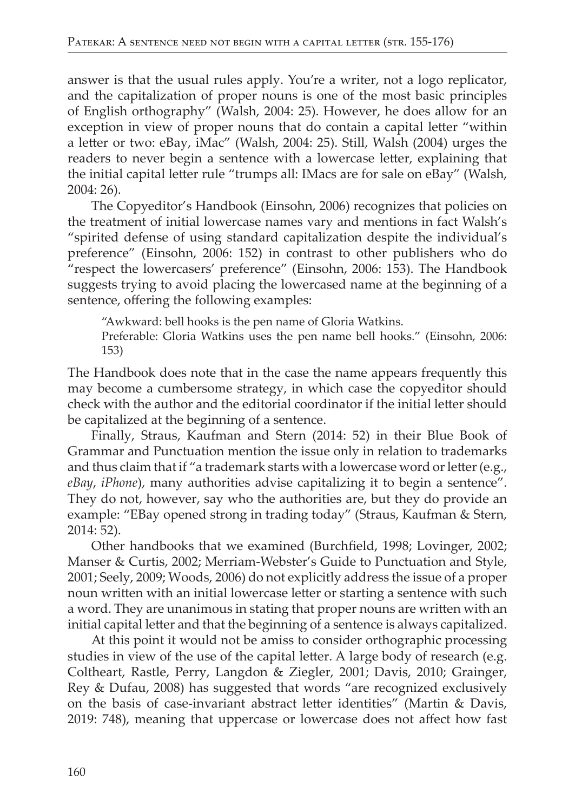answer is that the usual rules apply. You're a writer, not a logo replicator, and the capitalization of proper nouns is one of the most basic principles of English orthography" (Walsh, 2004: 25). However, he does allow for an exception in view of proper nouns that do contain a capital letter "within a letter or two: eBay, iMac" (Walsh, 2004: 25). Still, Walsh (2004) urges the readers to never begin a sentence with a lowercase letter, explaining that the initial capital letter rule "trumps all: IMacs are for sale on eBay" (Walsh,  $2004:26$ ).

The Copyeditor's Handbook (Einsohn, 2006) recognizes that policies on the treatment of initial lowercase names vary and mentions in fact Walsh's "spirited defense of using standard capitalization despite the individual's preference" (Einsohn, 2006: 152) in contrast to other publishers who do "respect the lowercasers' preference" (Einsohn, 2006: 153). The Handbook suggests trying to avoid placing the lowercased name at the beginning of a sentence, offering the following examples:

"Awkward: bell hooks is the pen name of Gloria Watkins.

Preferable: Gloria Watkins uses the pen name bell hooks." (Einsohn, 2006:  $153)$ 

The Handbook does note that in the case the name appears frequently this may become a cumbersome strategy, in which case the copyeditor should check with the author and the editorial coordinator if the initial letter should be capitalized at the beginning of a sentence.

Finally, Straus, Kaufman and Stern (2014: 52) in their Blue Book of Grammar and Punctuation mention the issue only in relation to trademarks and thus claim that if "a trademark starts with a lowercase word or letter (e.g., eBay, iPhone), many authorities advise capitalizing it to begin a sentence". They do not, however, say who the authorities are, but they do provide an example: "EBay opened strong in trading today" (Straus, Kaufman & Stern,  $2014:52$ ).

Other handbooks that we examined (Burchfield, 1998; Lovinger, 2002; Manser & Curtis, 2002; Merriam-Webster's Guide to Punctuation and Style, 2001; Seely, 2009; Woods, 2006) do not explicitly address the issue of a proper noun written with an initial lowercase letter or starting a sentence with such a word. They are unanimous in stating that proper nouns are written with an initial capital letter and that the beginning of a sentence is always capitalized.

At this point it would not be amiss to consider orthographic processing studies in view of the use of the capital letter. A large body of research (e.g. Coltheart, Rastle, Perry, Langdon & Ziegler, 2001; Davis, 2010; Grainger, Rey & Dufau, 2008) has suggested that words "are recognized exclusively on the basis of case-invariant abstract letter identities" (Martin & Davis, 2019: 748), meaning that uppercase or lowercase does not affect how fast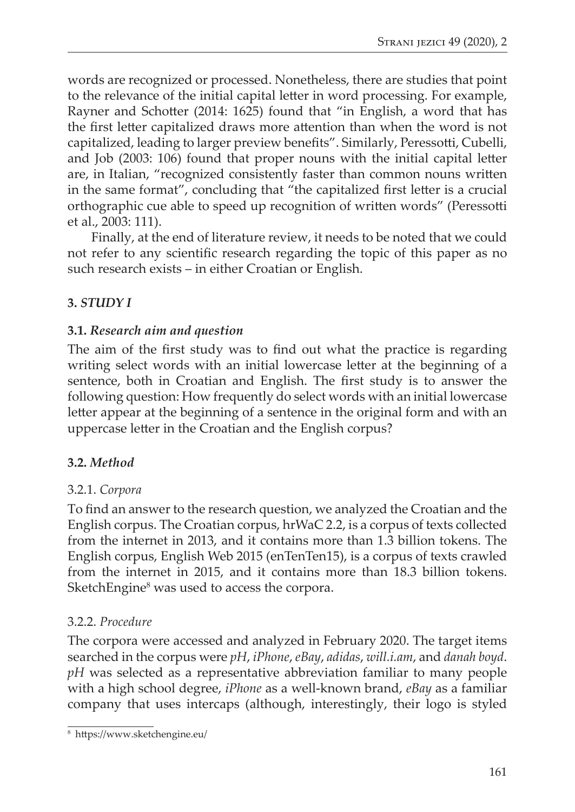words are recognized or processed. Nonetheless, there are studies that point to the relevance of the initial capital leter in word processing. For example, Rayner and Schotter (2014: 1625) found that "in English, a word that has the first letter capitalized draws more attention than when the word is not capitalized, leading to larger preview benefts". Similarly, Peressoti, Cubelli, and Job (2003: 106) found that proper nouns with the initial capital leter are, in Italian, "recognized consistently faster than common nouns writen in the same format", concluding that "the capitalized first letter is a crucial orthographic cue able to speed up recognition of writen words" (Peressoti et al., 2003: 111).

Finally, at the end of literature review, it needs to be noted that we could not refer to any scientifc research regarding the topic of this paper as no such research exists – in either Croatian or English.

### **3.** *STUDY I*

### **3.1.** *Research aim and question*

The aim of the first study was to find out what the practice is regarding writing select words with an initial lowercase leter at the beginning of a sentence, both in Croatian and English. The frst study is to answer the following question: How frequently do select words with an initial lowercase letter appear at the beginning of a sentence in the original form and with an uppercase letter in the Croatian and the English corpus?

### **3.2.** *Method*

#### 3.2.1. *Corpora*

To fnd an answer to the research question, we analyzed the Croatian and the English corpus. The Croatian corpus, hrWaC 2.2, is a corpus of texts collected from the internet in 2013, and it contains more than 1.3 billion tokens. The English corpus, English Web 2015 (enTenTen15), is a corpus of texts crawled from the internet in 2015, and it contains more than 18.3 billion tokens. SketchEngine $^8$  was used to access the corpora.

#### 3.2.2. *Procedure*

The corpora were accessed and analyzed in February 2020. The target items searched in the corpus were *pH*, *iPhone*, *eBay*, *adidas*, *will.i.am*, and *danah boyd*. *pH* was selected as a representative abbreviation familiar to many people with a high school degree, *iPhone* as a well-known brand, *eBay* as a familiar company that uses intercaps (although, interestingly, their logo is styled

<sup>8</sup> htps://www.sketchengine.eu/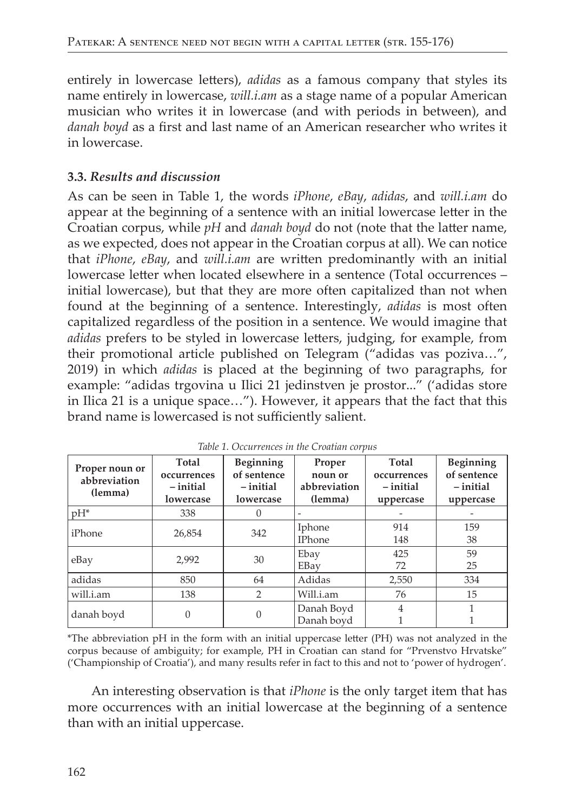entirely in lowercase letters), *adidas* as a famous company that styles its name entirely in lowercase, will.i.am as a stage name of a popular American musician who writes it in lowercase (and with periods in between), and danah boyd as a first and last name of an American researcher who writes it in lowercase.

#### 3.3. Results and discussion

As can be seen in Table 1, the words *iPhone*, *eBay*, *adidas*, and *will.i.am* do appear at the beginning of a sentence with an initial lowercase letter in the Croatian corpus, while pH and danah boyd do not (note that the latter name, as we expected, does not appear in the Croatian corpus at all). We can notice that iPhone, eBay, and will.i.am are written predominantly with an initial lowercase letter when located elsewhere in a sentence (Total occurrences initial lowercase), but that they are more often capitalized than not when found at the beginning of a sentence. Interestingly, *adidas* is most often capitalized regardless of the position in a sentence. We would imagine that adidas prefers to be styled in lowercase letters, judging, for example, from their promotional article published on Telegram ("adidas vas poziva...", 2019) in which *adidas* is placed at the beginning of two paragraphs, for example: "adidas trgovina u Ilici 21 jedinstven je prostor..." ('adidas store in Ilica 21 is a unique space..."). However, it appears that the fact that this brand name is lowercased is not sufficiently salient.

| Proper noun or<br>abbreviation<br>(lemma) | Total<br>occurrences<br>-initial<br>lowercase | Beginning<br>of sentence<br>-initial<br>lowercase | Proper<br>noun or<br>abbreviation<br>(lemma) | Total<br>occurrences<br>-initial<br>uppercase | Beginning<br>of sentence<br>-initial<br>uppercase |  |
|-------------------------------------------|-----------------------------------------------|---------------------------------------------------|----------------------------------------------|-----------------------------------------------|---------------------------------------------------|--|
| $pH^*$                                    | 338                                           | 0                                                 |                                              |                                               |                                                   |  |
| iPhone                                    | 26,854                                        | 342                                               | Iphone<br><b>IPhone</b>                      | 914<br>148                                    | 159<br>38                                         |  |
| eBay                                      | 2,992                                         | 30                                                | Ebay<br>EBay                                 | 425<br>72                                     | 59<br>25                                          |  |
| adidas                                    | 850                                           | 64                                                | Adidas                                       | 2,550                                         | 334                                               |  |
| will.i.am                                 | 138                                           | $\overline{2}$                                    | Will.i.am                                    | 76                                            | 15                                                |  |
| danah boyd                                | $\Omega$                                      | 0                                                 | Danah Boyd<br>Danah boyd                     | 4                                             |                                                   |  |

|  |  | Table 1. Occurrences in the Croatian corpus |  |  |  |  |
|--|--|---------------------------------------------|--|--|--|--|
|--|--|---------------------------------------------|--|--|--|--|

\*The abbreviation pH in the form with an initial uppercase letter (PH) was not analyzed in the corpus because of ambiguity; for example, PH in Croatian can stand for "Prvenstvo Hrvatske" ('Championship of Croatia'), and many results refer in fact to this and not to 'power of hydrogen'.

An interesting observation is that *iPhone* is the only target item that has more occurrences with an initial lowercase at the beginning of a sentence than with an initial uppercase.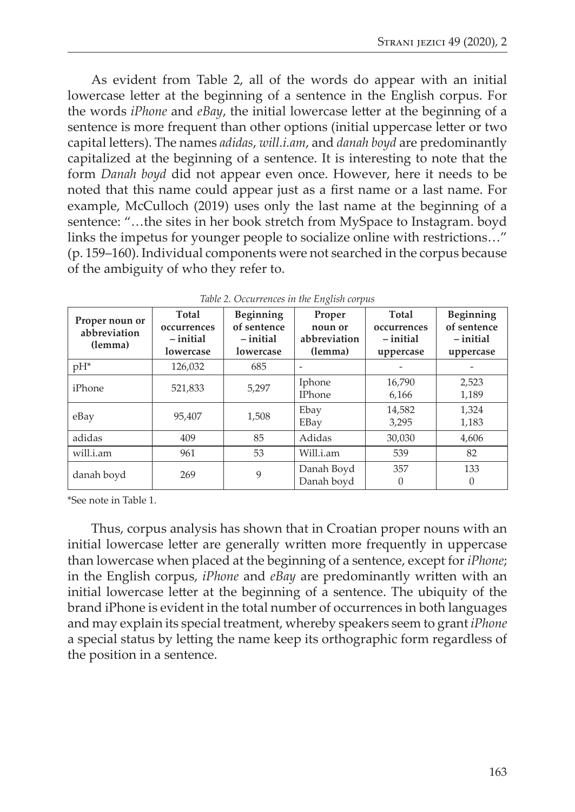As evident from Table 2, all of the words do appear with an initial lowercase letter at the beginning of a sentence in the English corpus. For the words *iPhone* and *eBay*, the initial lowercase letter at the beginning of a sentence is more frequent than other options (initial uppercase letter or two capital leters). The names *adidas*, *will.i.am*, and *danah boyd* are predominantly capitalized at the beginning of a sentence. It is interesting to note that the form *Danah boyd* did not appear even once. However, here it needs to be noted that this name could appear just as a frst name or a last name. For example, McCulloch (2019) uses only the last name at the beginning of a sentence: "…the sites in her book stretch from MySpace to Instagram. boyd links the impetus for younger people to socialize online with restrictions…" (p. 159–160). Individual components were not searched in the corpus because of the ambiguity of who they refer to.

| Proper noun or<br>abbreviation<br>(lemma) | Total<br>occurrences<br>- initial<br>lowercase | Beginning<br>of sentence<br>– initial<br>lowercase | Proper<br>noun or<br>abbreviation<br>(lemma) | Total<br>occurrences<br>-initial<br>uppercase | Beginning<br>of sentence<br>-initial<br>uppercase |
|-------------------------------------------|------------------------------------------------|----------------------------------------------------|----------------------------------------------|-----------------------------------------------|---------------------------------------------------|
| $pH^*$                                    | 126.032                                        | 685                                                |                                              |                                               |                                                   |
| iPhone                                    | 521,833                                        | 5,297                                              | Iphone<br><b>IPhone</b>                      | 16,790<br>6,166                               | 2,523<br>1,189                                    |
| eBay                                      | 95,407                                         | 1,508                                              | Ebay<br>EBay                                 | 14,582<br>3,295                               | 1,324<br>1,183                                    |
| adidas                                    | 409                                            | 85                                                 | Adidas                                       | 30,030                                        | 4,606                                             |
| will.i.am                                 | 961                                            | 53                                                 | Will.i.am                                    | 539                                           | 82                                                |
| danah boyd                                | 269                                            | 9                                                  | Danah Boyd<br>Danah boyd                     | 357<br>$\left( \right)$                       | 133<br>$\theta$                                   |

| Table 2. Occurrences in the English corpus |  |  |  |  |
|--------------------------------------------|--|--|--|--|
|--------------------------------------------|--|--|--|--|

\*See note in Table 1.

Thus, corpus analysis has shown that in Croatian proper nouns with an initial lowercase letter are generally written more frequently in uppercase than lowercase when placed at the beginning of a sentence, except for *iPhone*; in the English corpus, *iPhone* and *eBay* are predominantly writen with an initial lowercase letter at the beginning of a sentence. The ubiquity of the brand iPhone is evident in the total number of occurrences in both languages and may explain its special treatment, whereby speakers seem to grant *iPhone* a special status by leting the name keep its orthographic form regardless of the position in a sentence.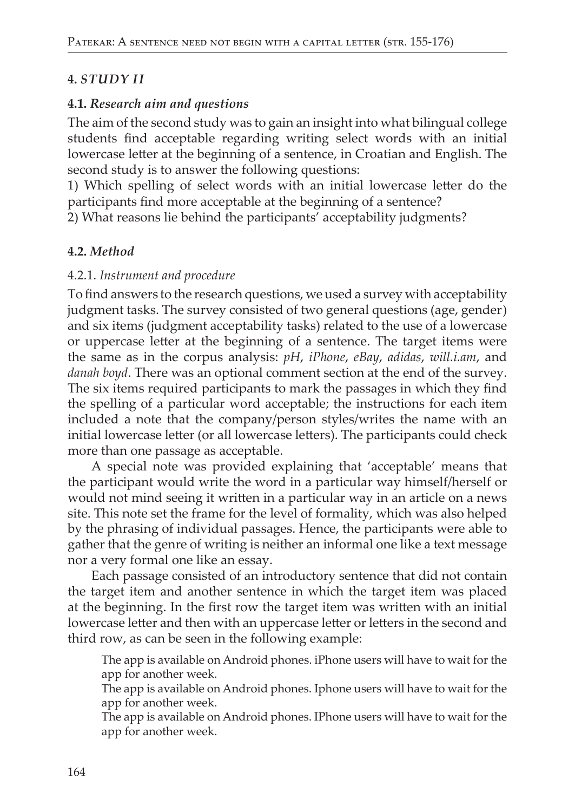### **4. STUDY II**

#### 4.1. Research aim and questions

The aim of the second study was to gain an insight into what bilingual college students find acceptable regarding writing select words with an initial lowercase letter at the beginning of a sentence, in Croatian and English. The second study is to answer the following questions:

1) Which spelling of select words with an initial lowercase letter do the participants find more acceptable at the beginning of a sentence?

2) What reasons lie behind the participants' acceptability judgments?

### 4.2. Method

#### 4.2.1. Instrument and procedure

To find answers to the research questions, we used a survey with acceptability judgment tasks. The survey consisted of two general questions (age, gender) and six items (judgment acceptability tasks) related to the use of a lowercase or uppercase letter at the beginning of a sentence. The target items were the same as in the corpus analysis: pH, iPhone, eBay, adidas, will.i.am, and danah boyd. There was an optional comment section at the end of the survey. The six items required participants to mark the passages in which they find the spelling of a particular word acceptable; the instructions for each item included a note that the company/person styles/writes the name with an initial lowercase letter (or all lowercase letters). The participants could check more than one passage as acceptable.

A special note was provided explaining that 'acceptable' means that the participant would write the word in a particular way himself/herself or would not mind seeing it written in a particular way in an article on a news site. This note set the frame for the level of formality, which was also helped by the phrasing of individual passages. Hence, the participants were able to gather that the genre of writing is neither an informal one like a text message nor a very formal one like an essay.

Each passage consisted of an introductory sentence that did not contain the target item and another sentence in which the target item was placed at the beginning. In the first row the target item was written with an initial lowercase letter and then with an uppercase letter or letters in the second and third row, as can be seen in the following example:

The app is available on Android phones. iPhone users will have to wait for the app for another week.

The app is available on Android phones. Iphone users will have to wait for the app for another week.

The app is available on Android phones. IPhone users will have to wait for the app for another week.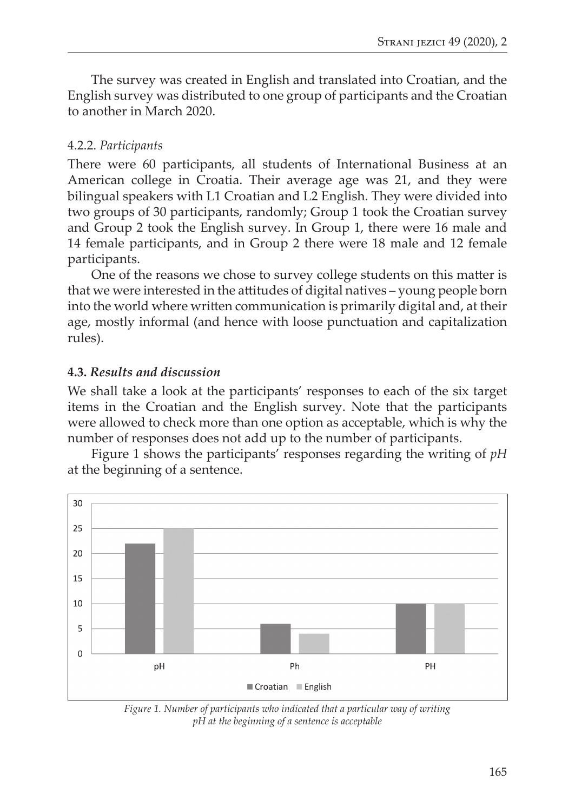The survey was created in English and translated into Croatian, and the English survey was distributed to one group of participants and the Croatian to another in March 2020.

### 4.2.2. *Participants*

There were 60 participants, all students of International Business at an American college in Croatia. Their average age was 21, and they were bilingual speakers with L1 Croatian and L2 English. They were divided into two groups of 30 participants, randomly; Group 1 took the Croatian survey and Group 2 took the English survey. In Group 1, there were 16 male and 14 female participants, and in Group 2 there were 18 male and 12 female participants.

One of the reasons we chose to survey college students on this mater is that we were interested in the atitudes of digital natives – young people born into the world where writen communication is primarily digital and, at their age, mostly informal (and hence with loose punctuation and capitalization rules).

### **4.3.** *Results and discussion*

We shall take a look at the participants' responses to each of the six target items in the Croatian and the English survey. Note that the participants were allowed to check more than one option as acceptable, which is why the number of responses does not add up to the number of participants.

Figure 1 shows the participants' responses regarding the writing of *pH* at the beginning of a sentence.



*Figure 1. Number of participants who indicated that a particular way of writing pH at the beginning of a sentence is acceptable*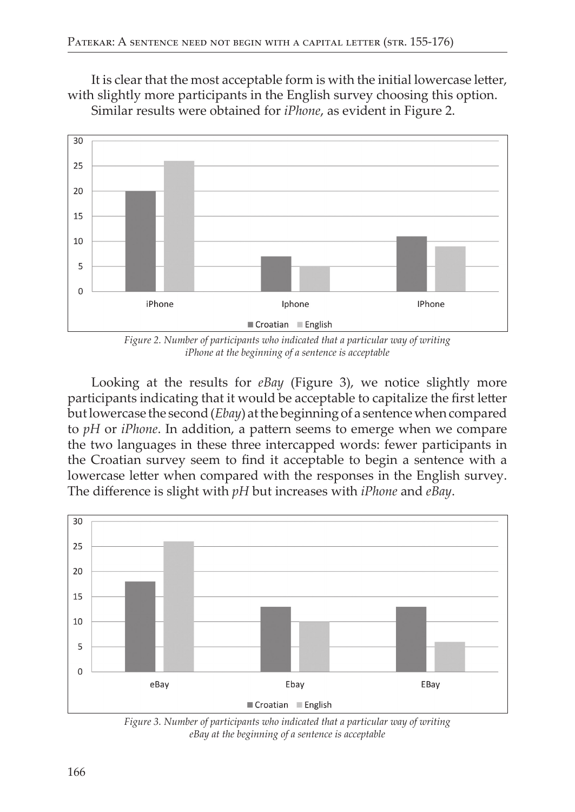It is clear that the most acceptable form is with the initial lowercase letter, with slightly more participants in the English survey choosing this option. Similar results were obtained for *iPhone*, as evident in Figure 2.



Figure 2. Number of participants who indicated that a particular way of writing iPhone at the beginning of a sentence is acceptable

Looking at the results for eBay (Figure 3), we notice slightly more participants indicating that it would be acceptable to capitalize the first letter but lowercase the second (*Ebay*) at the beginning of a sentence when compared to  $pH$  or  $iPhone$ . In addition, a pattern seems to emerge when we compare the two languages in these three intercapped words: fewer participants in the Croatian survey seem to find it acceptable to begin a sentence with a lowercase letter when compared with the responses in the English survey. The difference is slight with pH but increases with *iPhone* and *eBay*.



Figure 3. Number of participants who indicated that a particular way of writing eBay at the beginning of a sentence is acceptable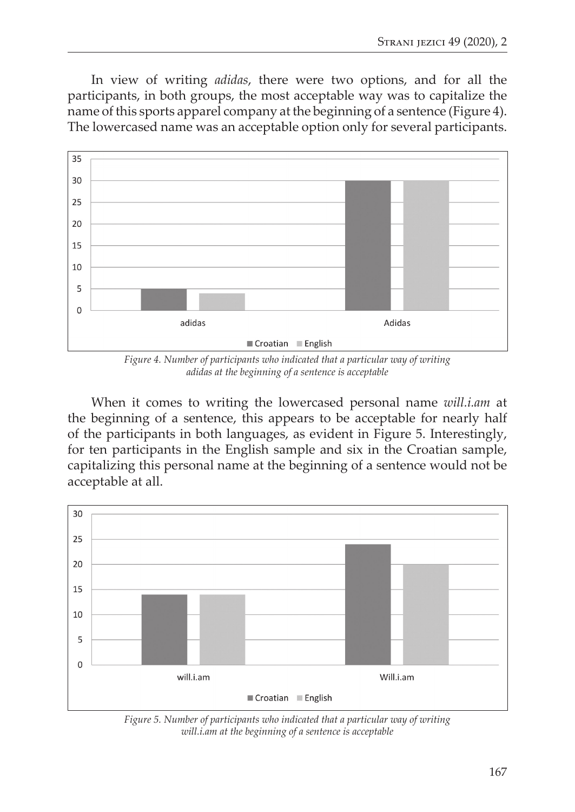In view of writing *adidas*, there were two options, and for all the participants, in both groups, the most acceptable way was to capitalize the name of this sports apparel company at the beginning of a sentence (Figure 4). The lowercased name was an acceptable option only for several participants.



*Figure 4. Number of participants who indicated that a particular way of writing adidas at the beginning of a sentence is acceptable*

When it comes to writing the lowercased personal name *will.i.am* at the beginning of a sentence, this appears to be acceptable for nearly half of the participants in both languages, as evident in Figure 5. Interestingly, for ten participants in the English sample and six in the Croatian sample, capitalizing this personal name at the beginning of a sentence would not be acceptable at all.



*Figure 5. Number of participants who indicated that a particular way of writing will.i.am at the beginning of a sentence is acceptable*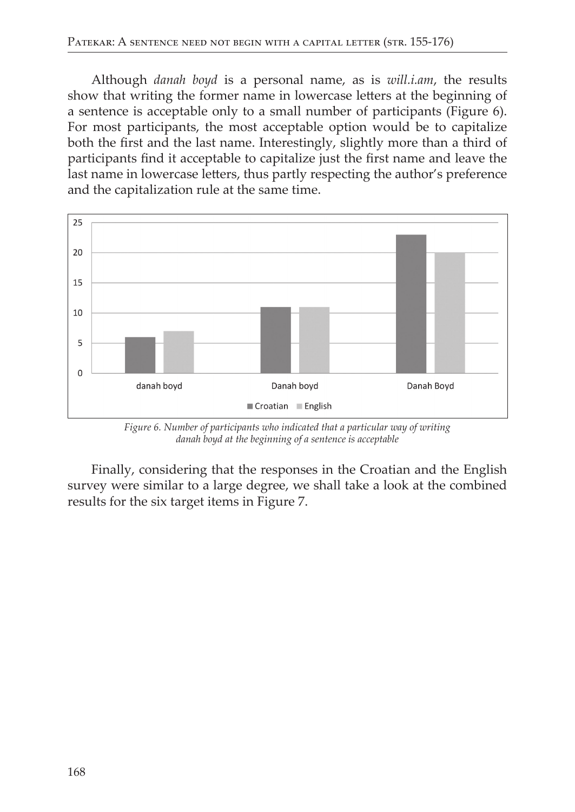Although *danah* boyd is a personal name, as is will.*i.am*, the results show that writing the former name in lowercase letters at the beginning of a sentence is acceptable only to a small number of participants (Figure 6). For most participants, the most acceptable option would be to capitalize both the first and the last name. Interestingly, slightly more than a third of participants find it acceptable to capitalize just the first name and leave the last name in lowercase letters, thus partly respecting the author's preference and the capitalization rule at the same time.



Figure 6. Number of participants who indicated that a particular way of writing danah boyd at the beginning of a sentence is acceptable

Finally, considering that the responses in the Croatian and the English survey were similar to a large degree, we shall take a look at the combined results for the six target items in Figure 7.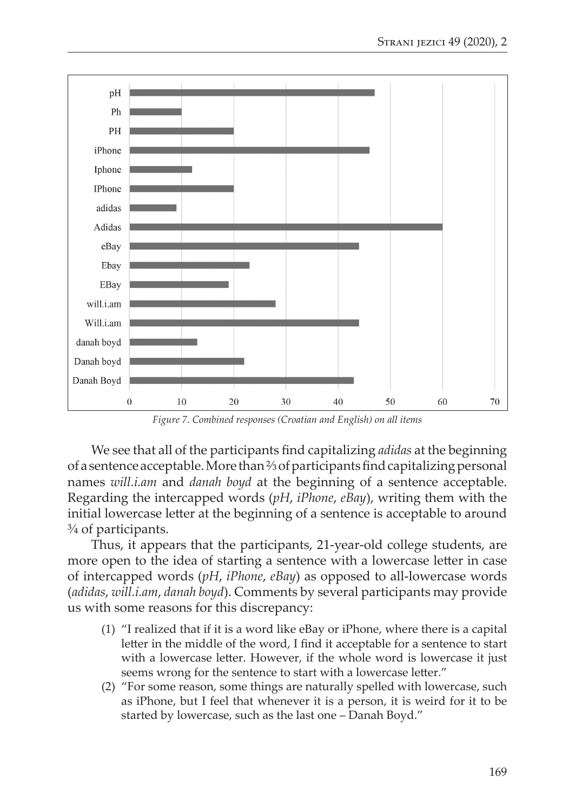

*Figure 7. Combined responses (Croatian and English) on all items*

We see that all of the participants fnd capitalizing *adidas* at the beginning of a sentence acceptable. More than ⅔ of participants fnd capitalizing personal names *will.i.am* and *danah boyd* at the beginning of a sentence acceptable. Regarding the intercapped words (*pH*, *iPhone*, *eBay*), writing them with the initial lowercase leter at the beginning of a sentence is acceptable to around ¾ of participants.

Thus, it appears that the participants, 21-year-old college students, are more open to the idea of starting a sentence with a lowercase letter in case of intercapped words (*pH*, *iPhone*, *eBay*) as opposed to all-lowercase words (*adidas*, *will.i.am*, *danah boyd*). Comments by several participants may provide us with some reasons for this discrepancy:

- (1) "I realized that if it is a word like eBay or iPhone, where there is a capital letter in the middle of the word, I find it acceptable for a sentence to start with a lowercase letter. However, if the whole word is lowercase it just seems wrong for the sentence to start with a lowercase letter."
- (2) "For some reason, some things are naturally spelled with lowercase, such as iPhone, but I feel that whenever it is a person, it is weird for it to be started by lowercase, such as the last one – Danah Boyd."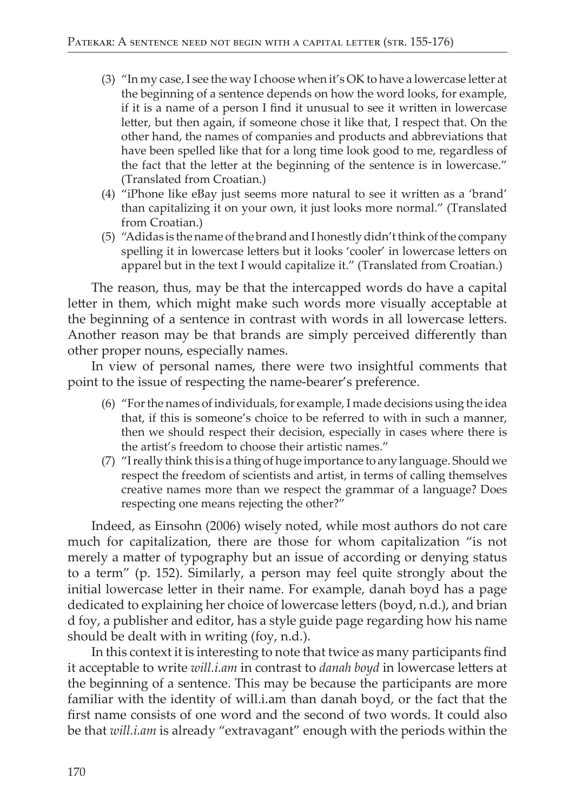- (3) "In my case, I see the way I choose when it's OK to have a lowercase letter at the beginning of a sentence depends on how the word looks, for example, if it is a name of a person I find it unusual to see it written in lowercase letter, but then again, if someone chose it like that, I respect that. On the other hand, the names of companies and products and abbreviations that have been spelled like that for a long time look good to me, regardless of the fact that the letter at the beginning of the sentence is in lowercase." (Translated from Croatian.)
- (4) "iPhone like eBay just seems more natural to see it written as a 'brand' than capitalizing it on your own, it just looks more normal." (Translated from Croatian.)
- (5) "Adidas is the name of the brand and I honestly didn't think of the company spelling it in lowercase letters but it looks 'cooler' in lowercase letters on apparel but in the text I would capitalize it." (Translated from Croatian.)

The reason, thus, may be that the intercapped words do have a capital letter in them, which might make such words more visually acceptable at the beginning of a sentence in contrast with words in all lowercase letters. Another reason may be that brands are simply perceived differently than other proper nouns, especially names.

In view of personal names, there were two insightful comments that point to the issue of respecting the name-bearer's preference.

- (6) "For the names of individuals, for example, I made decisions using the idea that, if this is someone's choice to be referred to with in such a manner, then we should respect their decision, especially in cases where there is the artist's freedom to choose their artistic names."
- (7) "I really think this is a thing of huge importance to any language. Should we respect the freedom of scientists and artist, in terms of calling themselves creative names more than we respect the grammar of a language? Does respecting one means rejecting the other?"

Indeed, as Einsohn (2006) wisely noted, while most authors do not care much for capitalization, there are those for whom capitalization "is not merely a matter of typography but an issue of according or denying status to a term" (p. 152). Similarly, a person may feel quite strongly about the initial lowercase letter in their name. For example, danah boyd has a page dedicated to explaining her choice of lowercase letters (boyd, n.d.), and brian d foy, a publisher and editor, has a style guide page regarding how his name should be dealt with in writing (foy, n.d.).

In this context it is interesting to note that twice as many participants find it acceptable to write will.i.am in contrast to danah boyd in lowercase letters at the beginning of a sentence. This may be because the participants are more familiar with the identity of will.i.am than danah boyd, or the fact that the first name consists of one word and the second of two words. It could also be that will.i.am is already "extravagant" enough with the periods within the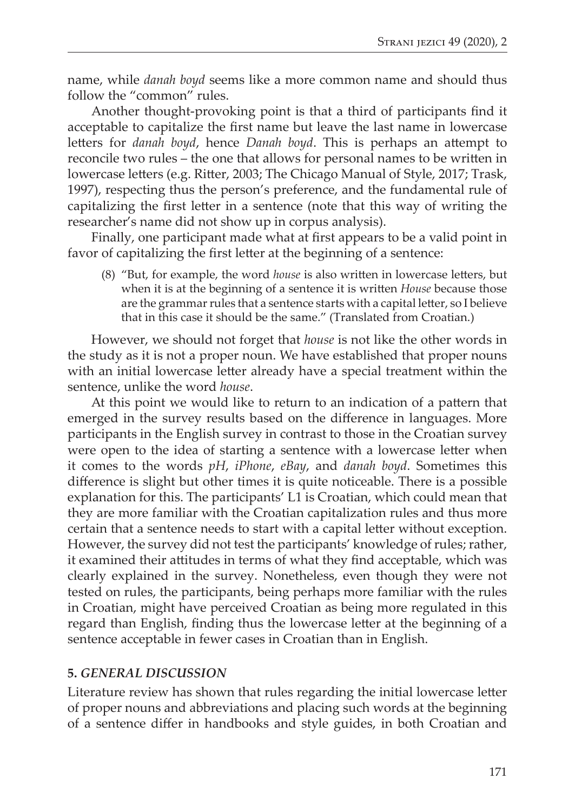name, while *danah boyd* seems like a more common name and should thus follow the "common" rules.

Another thought-provoking point is that a third of participants fnd it acceptable to capitalize the frst name but leave the last name in lowercase letters for *danah boyd*, hence *Danah boyd*. This is perhaps an attempt to reconcile two rules – the one that allows for personal names to be writen in lowercase letters (e.g. Ritter, 2003; The Chicago Manual of Style, 2017; Trask, 1997), respecting thus the person's preference, and the fundamental rule of capitalizing the frst leter in a sentence (note that this way of writing the researcher's name did not show up in corpus analysis).

Finally, one participant made what at first appears to be a valid point in favor of capitalizing the first letter at the beginning of a sentence:

(8) "But, for example, the word *house* is also writen in lowercase leters, but when it is at the beginning of a sentence it is writen *House* because those are the grammar rules that a sentence starts with a capital letter, so I believe that in this case it should be the same." (Translated from Croatian.)

However, we should not forget that *house* is not like the other words in the study as it is not a proper noun. We have established that proper nouns with an initial lowercase letter already have a special treatment within the sentence, unlike the word *house*.

At this point we would like to return to an indication of a patern that emerged in the survey results based on the diference in languages. More participants in the English survey in contrast to those in the Croatian survey were open to the idea of starting a sentence with a lowercase letter when it comes to the words *pH*, *iPhone*, *eBay*, and *danah boyd*. Sometimes this diference is slight but other times it is quite noticeable. There is a possible explanation for this. The participants' L1 is Croatian, which could mean that they are more familiar with the Croatian capitalization rules and thus more certain that a sentence needs to start with a capital leter without exception. However, the survey did not test the participants' knowledge of rules; rather, it examined their attitudes in terms of what they find acceptable, which was clearly explained in the survey. Nonetheless, even though they were not tested on rules, the participants, being perhaps more familiar with the rules in Croatian, might have perceived Croatian as being more regulated in this regard than English, fnding thus the lowercase leter at the beginning of a sentence acceptable in fewer cases in Croatian than in English.

#### **5.** *GENERAL DISCUSSION*

Literature review has shown that rules regarding the initial lowercase leter of proper nouns and abbreviations and placing such words at the beginning of a sentence difer in handbooks and style guides, in both Croatian and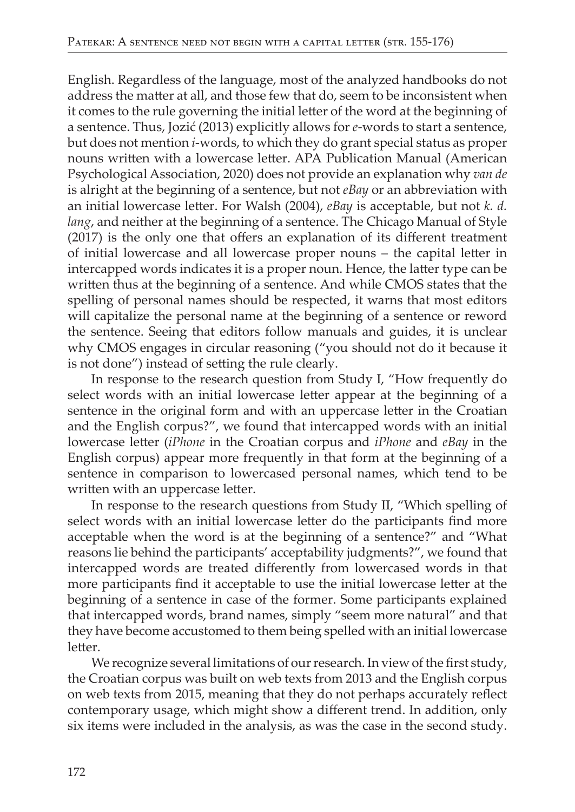English. Regardless of the language, most of the analyzed handbooks do not address the matter at all, and those few that do, seem to be inconsistent when it comes to the rule governing the initial letter of the word at the beginning of a sentence. Thus, Jozić (2013) explicitly allows for *e*-words to start a sentence, but does not mention *i*-words, to which they do grant special status as proper nouns written with a lowercase letter. APA Publication Manual (American Psychological Association, 2020) does not provide an explanation why van de is alright at the beginning of a sentence, but not eBay or an abbreviation with an initial lowercase letter. For Walsh (2004), eBay is acceptable, but not k. d. lang, and neither at the beginning of a sentence. The Chicago Manual of Style (2017) is the only one that offers an explanation of its different treatment of initial lowercase and all lowercase proper nouns - the capital letter in intercapped words indicates it is a proper noun. Hence, the latter type can be written thus at the beginning of a sentence. And while CMOS states that the spelling of personal names should be respected, it warns that most editors will capitalize the personal name at the beginning of a sentence or reword the sentence. Seeing that editors follow manuals and guides, it is unclear why CMOS engages in circular reasoning ("you should not do it because it is not done") instead of setting the rule clearly.

In response to the research question from Study I, "How frequently do select words with an initial lowercase letter appear at the beginning of a sentence in the original form and with an uppercase letter in the Croatian and the English corpus?", we found that intercapped words with an initial lowercase letter (iPhone in the Croatian corpus and iPhone and eBay in the English corpus) appear more frequently in that form at the beginning of a sentence in comparison to lowercased personal names, which tend to be written with an uppercase letter.

In response to the research questions from Study II, "Which spelling of select words with an initial lowercase letter do the participants find more acceptable when the word is at the beginning of a sentence?" and "What reasons lie behind the participants' acceptability judgments?", we found that intercapped words are treated differently from lowercased words in that more participants find it acceptable to use the initial lowercase letter at the beginning of a sentence in case of the former. Some participants explained that intercapped words, brand names, simply "seem more natural" and that they have become accustomed to them being spelled with an initial lowercase letter

We recognize several limitations of our research. In view of the first study, the Croatian corpus was built on web texts from 2013 and the English corpus on web texts from 2015, meaning that they do not perhaps accurately reflect contemporary usage, which might show a different trend. In addition, only six items were included in the analysis, as was the case in the second study.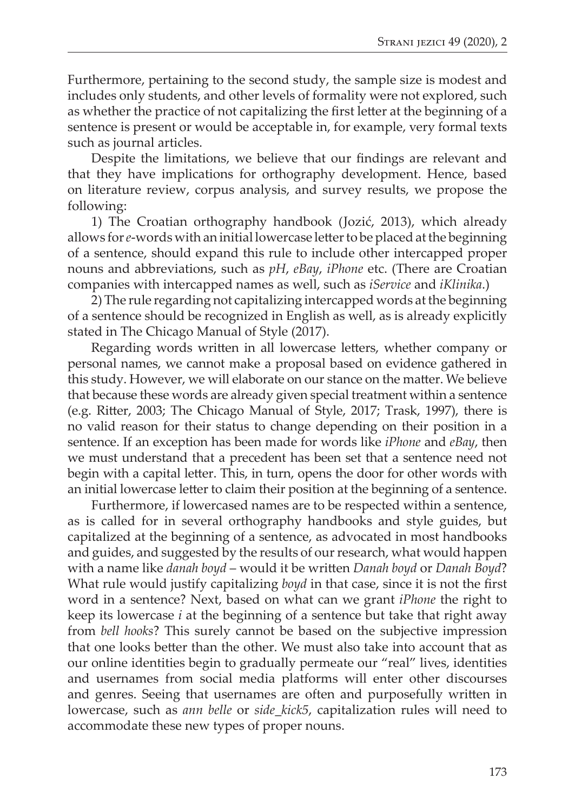Furthermore, pertaining to the second study, the sample size is modest and includes only students, and other levels of formality were not explored, such as whether the practice of not capitalizing the frst leter at the beginning of a sentence is present or would be acceptable in, for example, very formal texts such as journal articles.

Despite the limitations, we believe that our fndings are relevant and that they have implications for orthography development. Hence, based on literature review, corpus analysis, and survey results, we propose the following:

1) The Croatian orthography handbook (Jozić, 2013), which already allows for *e*-words with an initial lowercase leter to be placed at the beginning of a sentence, should expand this rule to include other intercapped proper nouns and abbreviations, such as *pH*, *eBay*, *iPhone* etc. (There are Croatian companies with intercapped names as well, such as *iService* and *iKlinika*.)

2) The rule regarding not capitalizing intercapped words at the beginning of a sentence should be recognized in English as well, as is already explicitly stated in The Chicago Manual of Style (2017).

Regarding words writen in all lowercase leters, whether company or personal names, we cannot make a proposal based on evidence gathered in this study. However, we will elaborate on our stance on the mater. We believe that because these words are already given special treatment within a sentence (e.g. Riter, 2003; The Chicago Manual of Style, 2017; Trask, 1997), there is no valid reason for their status to change depending on their position in a sentence. If an exception has been made for words like *iPhone* and *eBay*, then we must understand that a precedent has been set that a sentence need not begin with a capital letter. This, in turn, opens the door for other words with an initial lowercase letter to claim their position at the beginning of a sentence.

Furthermore, if lowercased names are to be respected within a sentence, as is called for in several orthography handbooks and style guides, but capitalized at the beginning of a sentence, as advocated in most handbooks and guides, and suggested by the results of our research, what would happen with a name like *danah boyd* – would it be writen *Danah boyd* or *Danah Boyd*? What rule would justify capitalizing *boyd* in that case, since it is not the first word in a sentence? Next, based on what can we grant *iPhone* the right to keep its lowercase *i* at the beginning of a sentence but take that right away from *bell hooks*? This surely cannot be based on the subjective impression that one looks beter than the other. We must also take into account that as our online identities begin to gradually permeate our "real" lives, identities and usernames from social media platforms will enter other discourses and genres. Seeing that usernames are often and purposefully writen in lowercase, such as *ann belle* or *side\_kick5*, capitalization rules will need to accommodate these new types of proper nouns.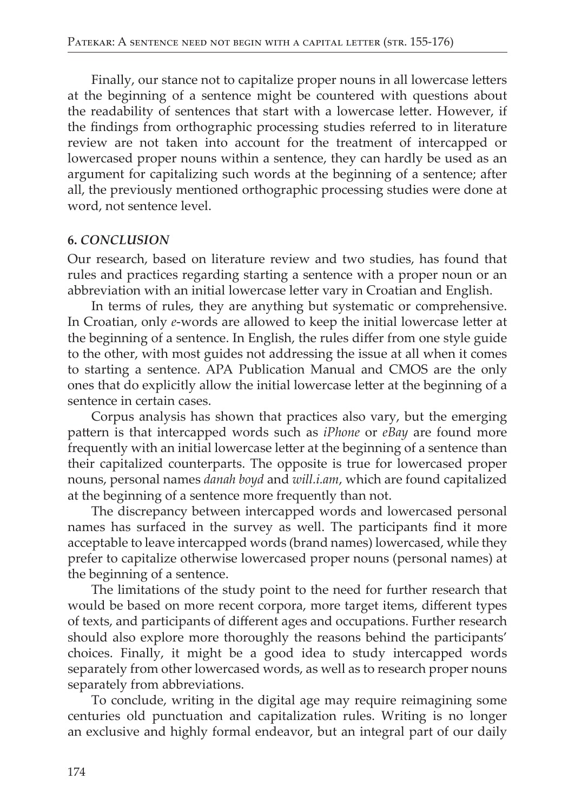Finally, our stance not to capitalize proper nouns in all lowercase letters at the beginning of a sentence might be countered with questions about the readability of sentences that start with a lowercase letter. However, if the findings from orthographic processing studies referred to in literature review are not taken into account for the treatment of intercapped or lowercased proper nouns within a sentence, they can hardly be used as an argument for capitalizing such words at the beginning of a sentence; after all, the previously mentioned orthographic processing studies were done at word, not sentence level.

#### **6. CONCLUSION**

Our research, based on literature review and two studies, has found that rules and practices regarding starting a sentence with a proper noun or an abbreviation with an initial lowercase letter vary in Croatian and English.

In terms of rules, they are anything but systematic or comprehensive. In Croatian, only e-words are allowed to keep the initial lowercase letter at the beginning of a sentence. In English, the rules differ from one style guide to the other, with most guides not addressing the issue at all when it comes to starting a sentence. APA Publication Manual and CMOS are the only ones that do explicitly allow the initial lowercase letter at the beginning of a sentence in certain cases.

Corpus analysis has shown that practices also vary, but the emerging pattern is that intercapped words such as *iPhone* or *eBay* are found more frequently with an initial lowercase letter at the beginning of a sentence than their capitalized counterparts. The opposite is true for lowercased proper nouns, personal names danah boyd and will.i.am, which are found capitalized at the beginning of a sentence more frequently than not.

The discrepancy between intercapped words and lowercased personal names has surfaced in the survey as well. The participants find it more acceptable to leave intercapped words (brand names) lowercased, while they prefer to capitalize otherwise lowercased proper nouns (personal names) at the beginning of a sentence.

The limitations of the study point to the need for further research that would be based on more recent corpora, more target items, different types of texts, and participants of different ages and occupations. Further research should also explore more thoroughly the reasons behind the participants' choices. Finally, it might be a good idea to study intercapped words separately from other lowercased words, as well as to research proper nouns separately from abbreviations.

To conclude, writing in the digital age may require reimagining some centuries old punctuation and capitalization rules. Writing is no longer an exclusive and highly formal endeavor, but an integral part of our daily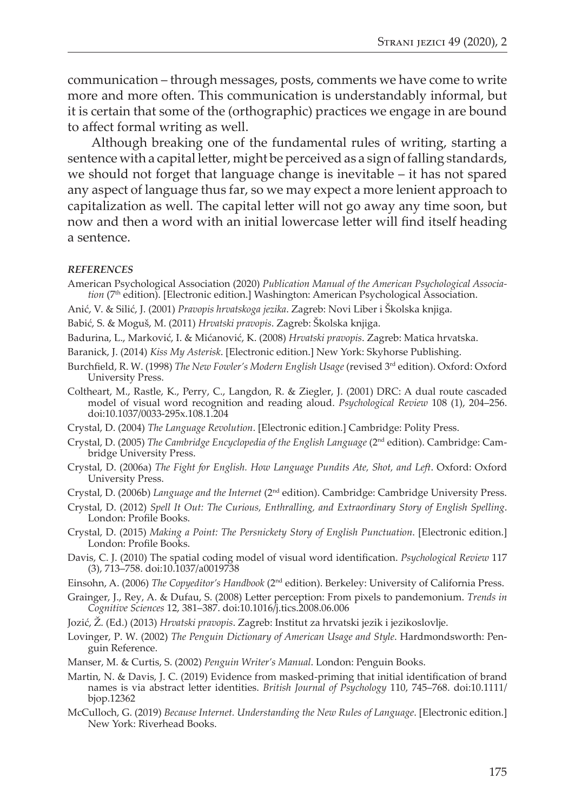communication – through messages, posts, comments we have come to write more and more often. This communication is understandably informal, but it is certain that some of the (orthographic) practices we engage in are bound to afect formal writing as well.

Although breaking one of the fundamental rules of writing, starting a sentence with a capital letter, might be perceived as a sign of falling standards, we should not forget that language change is inevitable – it has not spared any aspect of language thus far, so we may expect a more lenient approach to capitalization as well. The capital leter will not go away any time soon, but now and then a word with an initial lowercase leter will fnd itself heading a sentence.

#### *REFERENCES*

- American Psychological Association (2020) *Publication Manual of the American Psychological Association* (7th edition). [Electronic edition.] Washington: American Psychological Association.
- Anić, V. & Silić, J. (2001) *Pravopis hrvatskoga jezika*. Zagreb: Novi Liber i Školska knjiga.

Babić, S. & Moguš, M. (2011) *Hrvatski pravopis*. Zagreb: Školska knjiga.

- Badurina, L., Marković, I. & Mićanović, K. (2008) *Hrvatski pravopis*. Zagreb: Matica hrvatska.
- Baranick, J. (2014) *Kiss My Asterisk*. [Electronic edition.] New York: Skyhorse Publishing.
- Burchfeld, R. W. (1998) *The New Fowler's Modern English Usage* (revised 3rd edition). Oxford: Oxford University Press.
- Coltheart, M., Rastle, K., Perry, C., Langdon, R. & Ziegler, J. (2001) DRC: A dual route cascaded model of visual word recognition and reading aloud. *Psychological Review* 108 (1), 204–256. doi:10.1037/0033-295x.108.1.204
- Crystal, D. (2004) *The Language Revolution*. [Electronic edition.] Cambridge: Polity Press.
- Crystal, D. (2005) *The Cambridge Encyclopedia of the English Language* (2nd edition). Cambridge: Cambridge University Press.
- Crystal, D. (2006a) *The Fight for English. How Language Pundits Ate, Shot, and Left*. Oxford: Oxford University Press.
- Crystal, D. (2006b) *Language and the Internet* (2nd edition). Cambridge: Cambridge University Press.
- Crystal, D. (2012) *Spell It Out: The Curious, Enthralling, and Extraordinary Story of English Spelling*. London: Profle Books.
- Crystal, D. (2015) *Making a Point: The Persnickety Story of English Punctuation*. [Electronic edition.] London: Profle Books.
- Davis, C. J. (2010) The spatial coding model of visual word identifcation. *Psychological Review* 117 (3), 713–758. doi:10.1037/a0019738
- Einsohn, A. (2006) *The Copyeditor's Handbook* (2nd edition). Berkeley: University of California Press.
- Grainger, J., Rey, A. & Dufau, S. (2008) Leter perception: From pixels to pandemonium. *Trends in Cognitive Sciences* 12, 381–387. doi:10.1016/j.tics.2008.06.006
- Jozić, Ž. (Ed.) (2013) *Hrvatski pravopis*. Zagreb: Institut za hrvatski jezik i jezikoslovlje.
- Lovinger, P. W. (2002) *The Penguin Dictionary of American Usage and Style*. Hardmondsworth: Penguin Reference.
- Manser, M. & Curtis, S. (2002) *Penguin Writer's Manual*. London: Penguin Books.
- Martin, N. & Davis, J. C. (2019) Evidence from masked-priming that initial identifcation of brand names is via abstract leter identities. *British Journal of Psychology* 110, 745–768. doi:10.1111/ bjop.12362
- McCulloch, G. (2019) *Because Internet. Understanding the New Rules of Language*. [Electronic edition.] New York: Riverhead Books.